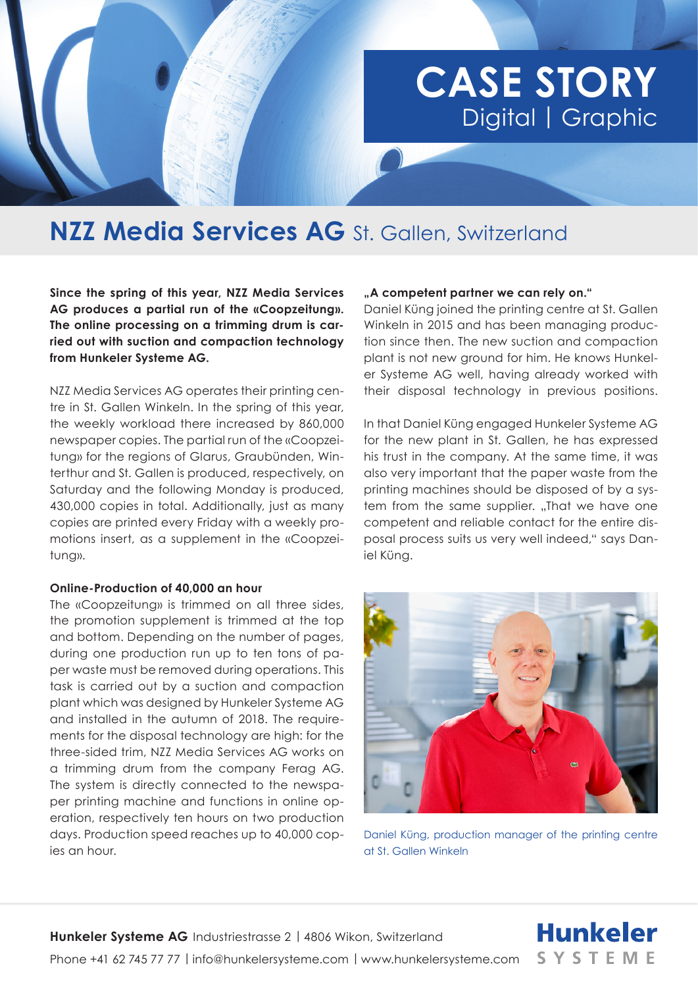# **CASE STORY**  Digital | Graphic

## **NZZ Media Services AG** St. Gallen, Switzerland

**Since the spring of this year, NZZ Media Services AG produces a partial run of the «Coopzeitung». The online processing on a trimming drum is carried out with suction and compaction technology from Hunkeler Systeme AG.**

NZZ Media Services AG operates their printing centre in St. Gallen Winkeln. In the spring of this year, the weekly workload there increased by 860,000 newspaper copies. The partial run of the «Coopzeitung» for the regions of Glarus, Graubünden, Winterthur and St. Gallen is produced, respectively, on Saturday and the following Monday is produced, 430,000 copies in total. Additionally, just as many copies are printed every Friday with a weekly promotions insert, as a supplement in the «Coopzeitung».

#### **Online-Production of 40,000 an hour**

The «Coopzeitung» is trimmed on all three sides, the promotion supplement is trimmed at the top and bottom. Depending on the number of pages, during one production run up to ten tons of paper waste must be removed during operations. This task is carried out by a suction and compaction plant which was designed by Hunkeler Systeme AG and installed in the autumn of 2018. The requirements for the disposal technology are high: for the three-sided trim, NZZ Media Services AG works on a trimming drum from the company Ferag AG. The system is directly connected to the newspaper printing machine and functions in online operation, respectively ten hours on two production days. Production speed reaches up to 40,000 copies an hour.

#### **"A competent partner we can rely on."**

Daniel Küng joined the printing centre at St. Gallen Winkeln in 2015 and has been managing production since then. The new suction and compaction plant is not new ground for him. He knows Hunkeler Systeme AG well, having already worked with their disposal technology in previous positions.

In that Daniel Küng engaged Hunkeler Systeme AG for the new plant in St. Gallen, he has expressed his trust in the company. At the same time, it was also very important that the paper waste from the printing machines should be disposed of by a system from the same supplier. "That we have one competent and reliable contact for the entire disposal process suits us very well indeed," says Daniel Küng.



Daniel Küng, production manager of the printing centre at St. Gallen Winkeln